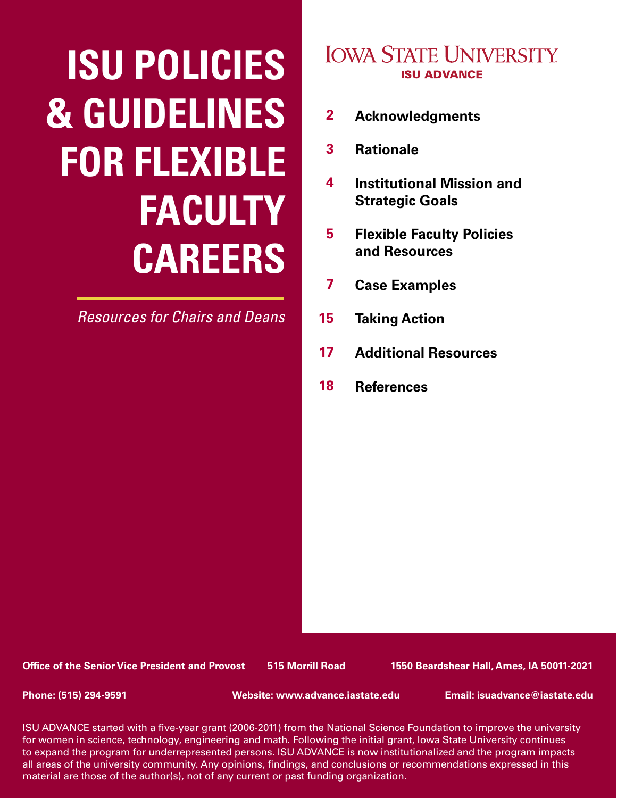# **ISU POLICIES & GUIDELINES FOR FLEXIBLE FACULTY CAREERS**

*Resources for Chairs and Deans*

# **IOWA STATE UNIVERSITY ISU ADVANCE**

- **[Acknowledgments](#page-1-0) 2**
- **[Rationale](#page-2-0) 3**
- **Institutional Mission and Strategic Goals 4**
- **Flexible Faculty Policies and Resources 5**
- **Case Examples 7**
- **Taking Action 15**
- **Additional Resources 17**
- **References 18**

**Office of the Senior Vice President and Provost 515 Morrill Road 1550 Beardshear Hall, Ames, IA 50011-2021**

**Phone: (515) 294-9591 Website: www.advance.iastate.edu Email: isuadvance@iastate.edu**

1 to expand the program for underrepresented persons. ISU ADVANCE is now institutionalized and the program impacts ISU ADVANCE started with a five-year grant (2006-2011) from the National Science Foundation to improve the university for women in science, technology, engineering and math. Following the initial grant, Iowa State University continues all areas of the university community. Any opinions, findings, and conclusions or recommendations expressed in this material are those of the author(s), not of any current or past funding organization.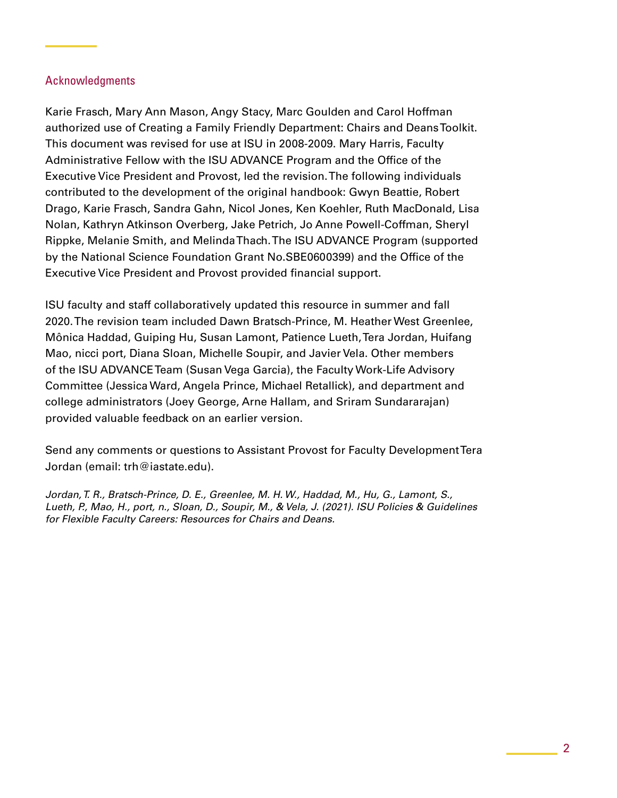# <span id="page-1-0"></span>Acknowledgments

Karie Frasch, Mary Ann Mason, Angy Stacy, Marc Goulden and Carol Hoffman authorized use of Creating a Family Friendly Department: Chairs and Deans Toolkit. This document was revised for use at ISU in 2008-2009. Mary Harris, Faculty Administrative Fellow with the ISU ADVANCE Program and the Office of the Executive Vice President and Provost, led the revision. The following individuals contributed to the development of the original handbook: Gwyn Beattie, Robert Drago, Karie Frasch, Sandra Gahn, Nicol Jones, Ken Koehler, Ruth MacDonald, Lisa Nolan, Kathryn Atkinson Overberg, Jake Petrich, Jo Anne Powell-Coffman, Sheryl Rippke, Melanie Smith, and Melinda Thach. The ISU ADVANCE Program (supported by the National Science Foundation Grant No.SBE0600399) and the Office of the Executive Vice President and Provost provided financial support.

ISU faculty and staff collaboratively updated this resource in summer and fall 2020. The revision team included Dawn Bratsch-Prince, M. Heather West Greenlee, Mônica Haddad, Guiping Hu, Susan Lamont, Patience Lueth, Tera Jordan, Huifang Mao, nicci port, Diana Sloan, Michelle Soupir, and Javier Vela. Other members of the ISU ADVANCE Team (Susan Vega Garcia), the Faculty Work-Life Advisory Committee (Jessica Ward, Angela Prince, Michael Retallick), and department and college administrators (Joey George, Arne Hallam, and Sriram Sundararajan) provided valuable feedback on an earlier version.

Send any comments or questions to Assistant Provost for Faculty Development Tera Jordan (email: trh@iastate.edu).

*Jordan, T. R., Bratsch-Prince, D. E., Greenlee, M. H. W., Haddad, M., Hu, G., Lamont, S., Lueth, P., Mao, H., port, n., Sloan, D., Soupir, M., & Vela, J. (2021). ISU Policies & Guidelines for Flexible Faculty Careers: Resources for Chairs and Deans.*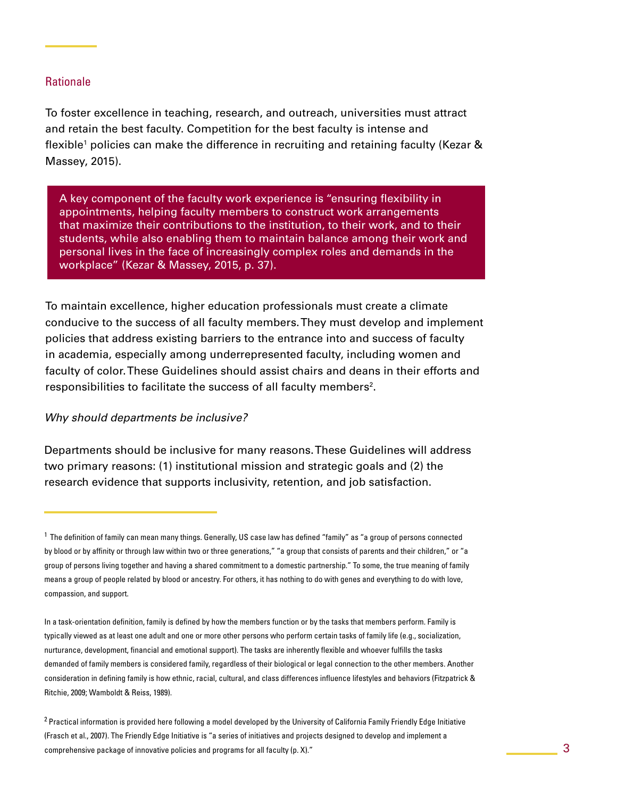# <span id="page-2-0"></span>**Rationale**

To foster excellence in teaching, research, and outreach, universities must attract and retain the best faculty. Competition for the best faculty is intense and flexible<sup>1</sup> policies can make the difference in recruiting and retaining faculty (Kezar & Massey, 2015).

A key component of the faculty work experience is "ensuring flexibility in appointments, helping faculty members to construct work arrangements that maximize their contributions to the institution, to their work, and to their students, while also enabling them to maintain balance among their work and personal lives in the face of increasingly complex roles and demands in the workplace" (Kezar & Massey, 2015, p. 37).

To maintain excellence, higher education professionals must create a climate conducive to the success of all faculty members. They must develop and implement policies that address existing barriers to the entrance into and success of faculty in academia, especially among underrepresented faculty, including women and faculty of color. These Guidelines should assist chairs and deans in their efforts and responsibilities to facilitate the success of all faculty members<sup>2</sup>.

#### *Why should departments be inclusive?*

Departments should be inclusive for many reasons. These Guidelines will address two primary reasons: (1) institutional mission and strategic goals and (2) the research evidence that supports inclusivity, retention, and job satisfaction.

<sup>1</sup> The definition of family can mean many things. Generally, US case law has defined "family" as "a group of persons connected by blood or by affinity or through law within two or three generations," "a group that consists of parents and their children," or "a group of persons living together and having a shared commitment to a domestic partnership." To some, the true meaning of family means a group of people related by blood or ancestry. For others, it has nothing to do with genes and everything to do with love, compassion, and support.

In a task-orientation definition, family is defined by how the members function or by the tasks that members perform. Family is typically viewed as at least one adult and one or more other persons who perform certain tasks of family life (e.g., socialization, nurturance, development, financial and emotional support). The tasks are inherently flexible and whoever fulfills the tasks demanded of family members is considered family, regardless of their biological or legal connection to the other members. Another consideration in defining family is how ethnic, racial, cultural, and class differences influence lifestyles and behaviors (Fitzpatrick & Ritchie, 2009; Wamboldt & Reiss, 1989).

<sup>&</sup>lt;sup>2</sup> Practical information is provided here following a model developed by the University of California Family Friendly Edge Initiative (Frasch et al., 2007). The Friendly Edge Initiative is "a series of initiatives and projects designed to develop and implement a comprehensive package of innovative policies and programs for all faculty (p. X)."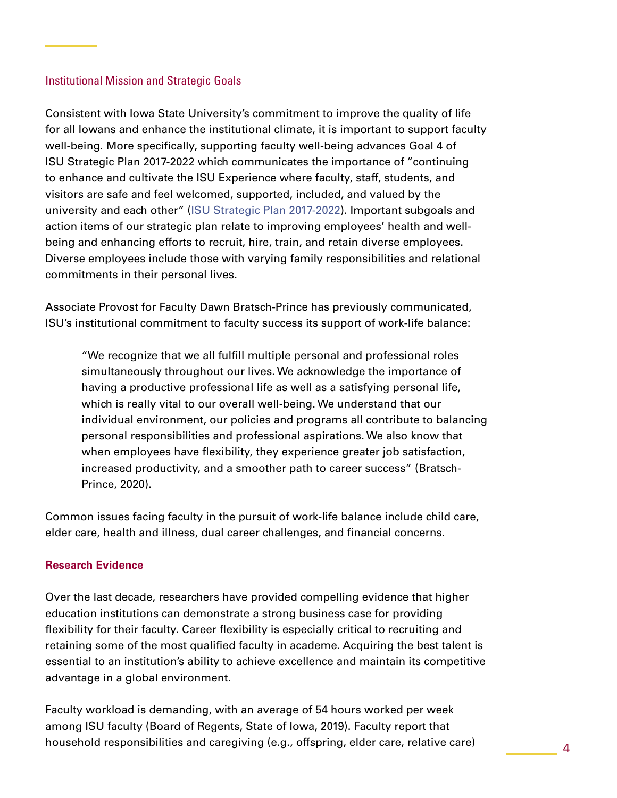# Institutional Mission and Strategic Goals

Consistent with Iowa State University's commitment to improve the quality of life for all Iowans and enhance the institutional climate, it is important to support faculty well-being. More specifically, supporting faculty well-being advances Goal 4 of ISU Strategic Plan 2017-2022 which communicates the importance of "continuing to enhance and cultivate the ISU Experience where faculty, staff, students, and visitors are safe and feel welcomed, supported, included, and valued by the university and each other" ([ISU Strategic Plan 2017-2022\)](https://strategicplan.iastate.edu/). Important subgoals and action items of our strategic plan relate to improving employees' health and wellbeing and enhancing efforts to recruit, hire, train, and retain diverse employees. Diverse employees include those with varying family responsibilities and relational commitments in their personal lives.

Associate Provost for Faculty Dawn Bratsch-Prince has previously communicated, ISU's institutional commitment to faculty success its support of work-life balance:

"We recognize that we all fulfill multiple personal and professional roles simultaneously throughout our lives. We acknowledge the importance of having a productive professional life as well as a satisfying personal life, which is really vital to our overall well-being. We understand that our individual environment, our policies and programs all contribute to balancing personal responsibilities and professional aspirations. We also know that when employees have flexibility, they experience greater job satisfaction, increased productivity, and a smoother path to career success" (Bratsch-Prince, 2020).

Common issues facing faculty in the pursuit of work-life balance include child care, elder care, health and illness, dual career challenges, and financial concerns.

# **Research Evidence**

Over the last decade, researchers have provided compelling evidence that higher education institutions can demonstrate a strong business case for providing flexibility for their faculty. Career flexibility is especially critical to recruiting and retaining some of the most qualified faculty in academe. Acquiring the best talent is essential to an institution's ability to achieve excellence and maintain its competitive advantage in a global environment.

Faculty workload is demanding, with an average of 54 hours worked per week among ISU faculty (Board of Regents, State of Iowa, 2019). Faculty report that household responsibilities and caregiving (e.g., offspring, elder care, relative care)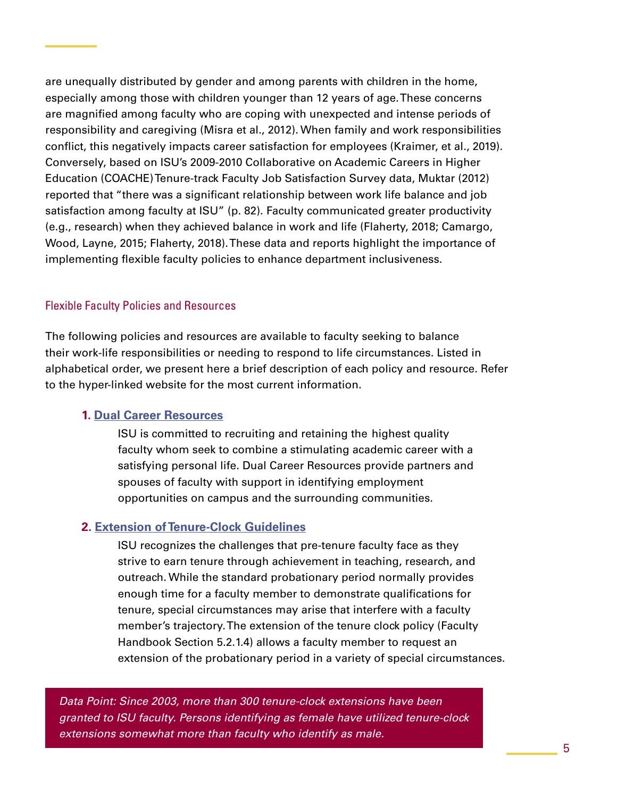are unequally distributed by gender and among parents with children in the home, especially among those with children younger than 12 years of age. These concerns are magnified among faculty who are coping with unexpected and intense periods of responsibility and caregiving (Misra et al., 2012). When family and work responsibilities conflict, this negatively impacts career satisfaction for employees (Kraimer, et al., 2019). Conversely, based on ISU's 2009-2010 Collaborative on Academic Careers in Higher Education (COACHE) Tenure-track Faculty Job Satisfaction Survey data, Muktar (2012) reported that "there was a significant relationship between work life balance and job satisfaction among faculty at ISU" (p. 82). Faculty communicated greater productivity (e.g., research) when they achieved balance in work and life (Flaherty, 2018; Camargo, Wood, Layne, 2015; Flaherty, 2018). These data and reports highlight the importance of implementing flexible faculty policies to enhance department inclusiveness.

# Flexible Faculty Policies and Resources

The following policies and resources are available to faculty seeking to balance their work-life responsibilities or needing to respond to life circumstances. Listed in alphabetical order, we present here a brief description of each policy and resource. Refer to the hyper-linked website for the most current information.

# **1. [Dual Career Resources](https://new.provost.iastate.edu/faculty-success/faculty-hiring/dual-career)**

 ISU is committed to recruiting and retaining the highest quality faculty whom seek to combine a stimulating academic career with a satisfying personal life. Dual Career Resources provide partners and spouses of faculty with support in identifying employment opportunities on campus and the surrounding communities.

# **2. [Extension of Tenure-Clock Guidelines](https://www.provost.iastate.edu/faculty-success/work-life)**

 ISU recognizes the challenges that pre-tenure faculty face as they strive to earn tenure through achievement in teaching, research, and outreach. While the standard probationary period normally provides enough time for a faculty member to demonstrate qualifications for tenure, special circumstances may arise that interfere with a faculty member's trajectory. The extension of the tenure clock policy (Faculty Handbook Section 5.2.1.4) allows a faculty member to request an extension of the probationary period in a variety of special circumstances.

*Data Point: Since 2003, more than 300 tenure-clock extensions have been granted to ISU faculty. Persons identifying as female have utilized tenure-clock extensions somewhat more than faculty who identify as male.*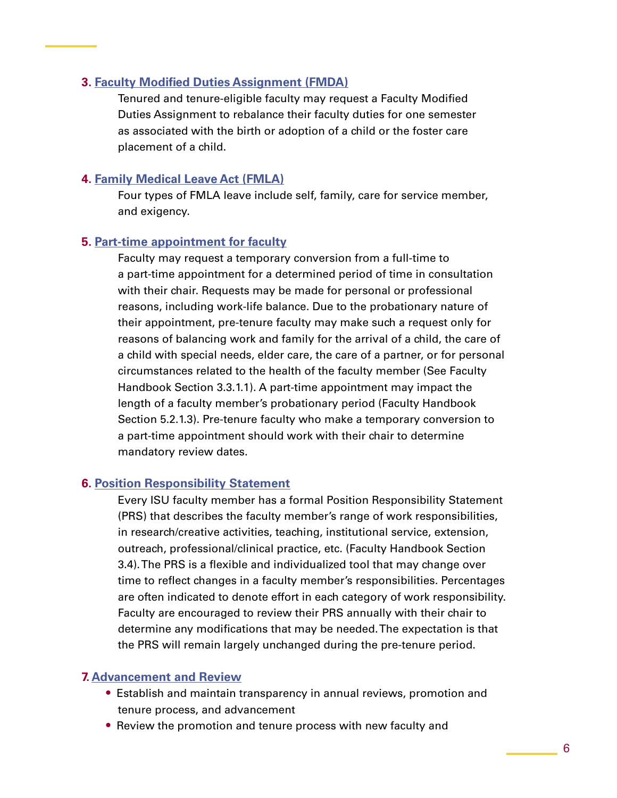# **3. [Faculty Modified Duties Assignment \(FMDA\)](https://www.provost.iastate.edu/faculty-success/work-life)**

Tenured and tenure-eligible faculty may request a Faculty Modified Duties Assignment to rebalance their faculty duties for one semester as associated with the birth or adoption of a child or the foster care placement of a child.

## **4. [Family Medical Leave Act \(FMLA\)](http://FMLA)**

 Four types of FMLA leave include self, family, care for service member, and exigency.

# **5. [Part-time appointment for faculty](https://www.provost.iastate.edu/faculty-success/work-life)**

 Faculty may request a temporary conversion from a full-time to a part-time appointment for a determined period of time in consultation with their chair. Requests may be made for personal or professional reasons, including work-life balance. Due to the probationary nature of their appointment, pre-tenure faculty may make such a request only for reasons of balancing work and family for the arrival of a child, the care of a child with special needs, elder care, the care of a partner, or for personal circumstances related to the health of the faculty member (See Faculty Handbook Section 3.3.1.1). A part-time appointment may impact the length of a faculty member's probationary period (Faculty Handbook Section 5.2.1.3). Pre-tenure faculty who make a temporary conversion to a part-time appointment should work with their chair to determine mandatory review dates.

#### **6. [Position Responsibility Statement](https://www.provost.iastate.edu/faculty-success/work-life)**

 Every ISU faculty member has a formal Position Responsibility Statement (PRS) that describes the faculty member's range of work responsibilities, in research/creative activities, teaching, institutional service, extension, outreach, professional/clinical practice, etc. (Faculty Handbook Section 3.4). The PRS is a flexible and individualized tool that may change over time to reflect changes in a faculty member's responsibilities. Percentages are often indicated to denote effort in each category of work responsibility. Faculty are encouraged to review their PRS annually with their chair to determine any modifications that may be needed. The expectation is that the PRS will remain largely unchanged during the pre-tenure period.

#### **7. [Advancement and Review](https://www.provost.iastate.edu/faculty-success/advancement)**

- **•** Establish and maintain transparency in annual reviews, promotion and tenure process, and advancement
- **•** Review the promotion and tenure process with new faculty and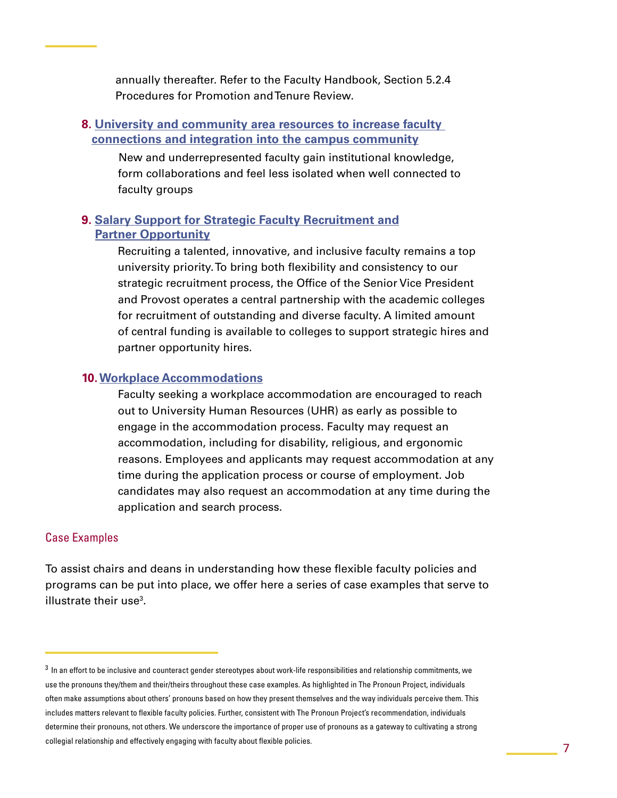annually thereafter. Refer to the Faculty Handbook, Section 5.2.4 Procedures for Promotion and Tenure Review.

# **8. University and community area [resources to increase faculty](https://www.provost.iastate.edu/faculty-success/development/all-faculty/resources)  [connections and integration into the campus community](https://www.provost.iastate.edu/faculty-success/development/all-faculty/resources)**

 New and underrepresented faculty gain institutional knowledge, form collaborations and feel less isolated when well connected to faculty groups

# **9. [Salary Support for Strategic Faculty Recruitment and](https://new.provost.iastate.edu/faculty-success/work-life/partner-spousal-accommodation) [Partner Opportunity](https://new.provost.iastate.edu/faculty-success/work-life/partner-spousal-accommodation)**

 Recruiting a talented, innovative, and inclusive faculty remains a top university priority. To bring both flexibility and consistency to our strategic recruitment process, the Office of the Senior Vice President and Provost operates a central partnership with the academic colleges for recruitment of outstanding and diverse faculty. A limited amount of central funding is available to colleges to support strategic hires and partner opportunity hires.

#### **10.[Workplace Accommodations](https://www.hr.iastate.edu/tools-for-employees/workplace-accommodations)**

 Faculty seeking a workplace accommodation are encouraged to reach out to University Human Resources (UHR) as early as possible to engage in the accommodation process. Faculty may request an accommodation, including for disability, religious, and ergonomic reasons. Employees and applicants may request accommodation at any time during the application process or course of employment. Job candidates may also request an accommodation at any time during the application and search process.

# Case Examples

To assist chairs and deans in understanding how these flexible faculty policies and programs can be put into place, we offer here a series of case examples that serve to illustrate their use $3$ .

 $^3$  In an effort to be inclusive and counteract gender stereotypes about work-life responsibilities and relationship commitments, we use the pronouns they/them and their/theirs throughout these case examples. As highlighted in The Pronoun Project, individuals often make assumptions about others' pronouns based on how they present themselves and the way individuals perceive them. This includes matters relevant to flexible faculty policies. Further, consistent with The Pronoun Project's recommendation, individuals determine their pronouns, not others. We underscore the importance of proper use of pronouns as a gateway to cultivating a strong collegial relationship and effectively engaging with faculty about flexible policies.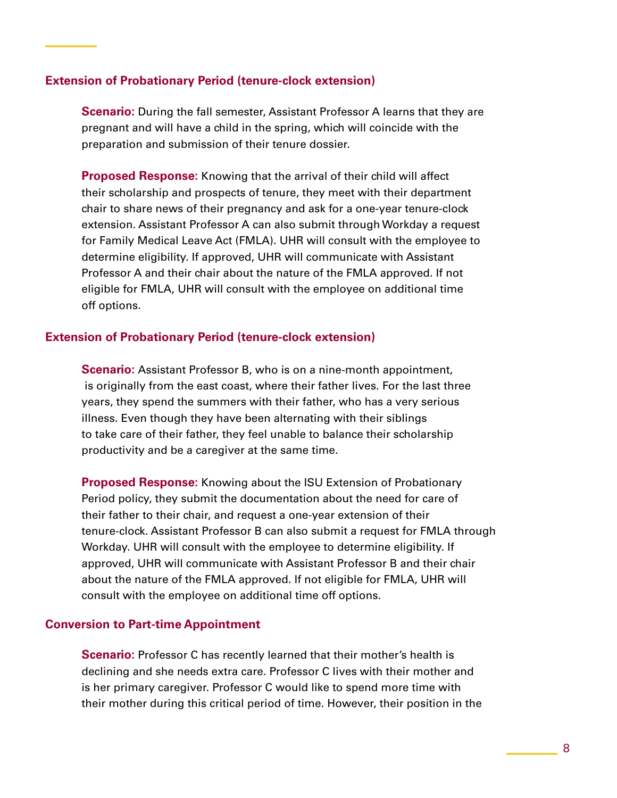## **Extension of Probationary Period (tenure-clock extension)**

**Scenario:** During the fall semester, Assistant Professor A learns that they are pregnant and will have a child in the spring, which will coincide with the preparation and submission of their tenure dossier.

**Proposed Response:** Knowing that the arrival of their child will affect their scholarship and prospects of tenure, they meet with their department chair to share news of their pregnancy and ask for a one-year tenure-clock extension. Assistant Professor A can also submit through Workday a request for Family Medical Leave Act (FMLA). UHR will consult with the employee to determine eligibility. If approved, UHR will communicate with Assistant Professor A and their chair about the nature of the FMLA approved. If not eligible for FMLA, UHR will consult with the employee on additional time off options.

# **Extension of Probationary Period (tenure-clock extension)**

**Scenario:** Assistant Professor B, who is on a nine-month appointment, is originally from the east coast, where their father lives. For the last three years, they spend the summers with their father, who has a very serious illness. Even though they have been alternating with their siblings to take care of their father, they feel unable to balance their scholarship productivity and be a caregiver at the same time.

**Proposed Response:** Knowing about the ISU Extension of Probationary Period policy, they submit the documentation about the need for care of their father to their chair, and request a one-year extension of their tenure-clock. Assistant Professor B can also submit a request for FMLA through Workday. UHR will consult with the employee to determine eligibility. If approved, UHR will communicate with Assistant Professor B and their chair about the nature of the FMLA approved. If not eligible for FMLA, UHR will consult with the employee on additional time off options.

#### **Conversion to Part-time Appointment**

**Scenario:** Professor C has recently learned that their mother's health is declining and she needs extra care. Professor C lives with their mother and is her primary caregiver. Professor C would like to spend more time with their mother during this critical period of time. However, their position in the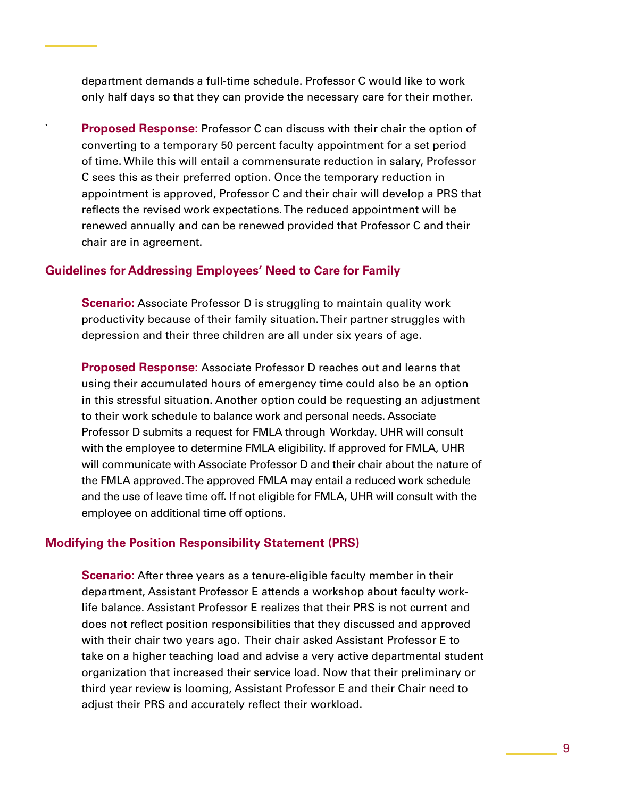department demands a full-time schedule. Professor C would like to work only half days so that they can provide the necessary care for their mother.

**Proposed Response:** Professor C can discuss with their chair the option of converting to a temporary 50 percent faculty appointment for a set period of time. While this will entail a commensurate reduction in salary, Professor C sees this as their preferred option. Once the temporary reduction in appointment is approved, Professor C and their chair will develop a PRS that reflects the revised work expectations. The reduced appointment will be renewed annually and can be renewed provided that Professor C and their chair are in agreement.

#### **Guidelines for Addressing Employees' Need to Care for Family**

**Scenario:** Associate Professor D is struggling to maintain quality work productivity because of their family situation. Their partner struggles with depression and their three children are all under six years of age.

**Proposed Response:** Associate Professor D reaches out and learns that using their accumulated hours of emergency time could also be an option in this stressful situation. Another option could be requesting an adjustment to their work schedule to balance work and personal needs. Associate Professor D submits a request for FMLA through Workday. UHR will consult with the employee to determine FMLA eligibility. If approved for FMLA, UHR will communicate with Associate Professor D and their chair about the nature of the FMLA approved. The approved FMLA may entail a reduced work schedule and the use of leave time off. If not eligible for FMLA, UHR will consult with the employee on additional time off options.

#### **Modifying the Position Responsibility Statement (PRS)**

**Scenario:** After three years as a tenure-eligible faculty member in their department, Assistant Professor E attends a workshop about faculty worklife balance. Assistant Professor E realizes that their PRS is not current and does not reflect position responsibilities that they discussed and approved with their chair two years ago. Their chair asked Assistant Professor E to take on a higher teaching load and advise a very active departmental student organization that increased their service load. Now that their preliminary or third year review is looming, Assistant Professor E and their Chair need to adjust their PRS and accurately reflect their workload.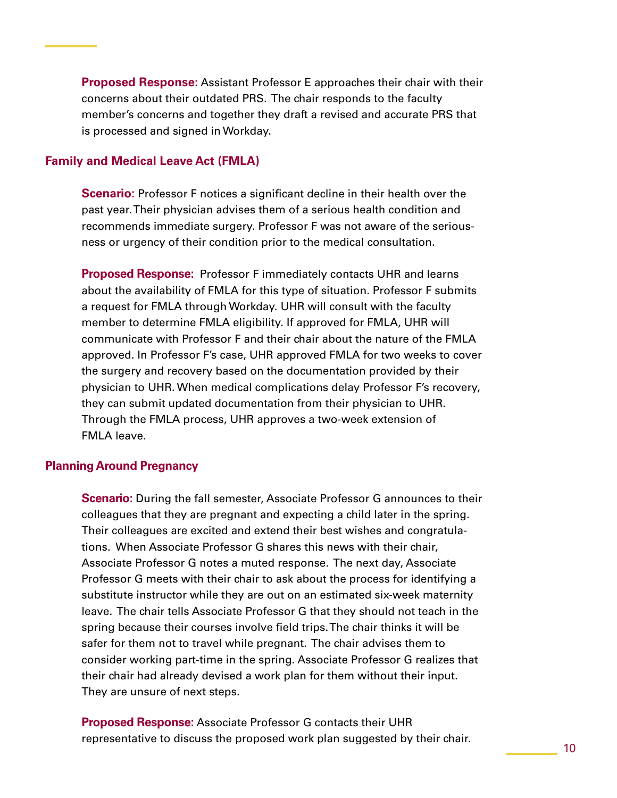**Proposed Response:** Assistant Professor E approaches their chair with their concerns about their outdated PRS. The chair responds to the faculty member's concerns and together they draft a revised and accurate PRS that is processed and signed in Workday.

# **Family and Medical Leave Act (FMLA)**

**Scenario:** Professor F notices a significant decline in their health over the past year. Their physician advises them of a serious health condition and recommends immediate surgery. Professor F was not aware of the seriousness or urgency of their condition prior to the medical consultation.

**Proposed Response:** Professor F immediately contacts UHR and learns about the availability of FMLA for this type of situation. Professor F submits a request for FMLA through Workday. UHR will consult with the faculty member to determine FMLA eligibility. If approved for FMLA, UHR will communicate with Professor F and their chair about the nature of the FMLA approved. In Professor F's case, UHR approved FMLA for two weeks to cover the surgery and recovery based on the documentation provided by their physician to UHR. When medical complications delay Professor F's recovery, they can submit updated documentation from their physician to UHR. Through the FMLA process, UHR approves a two-week extension of FMLA leave.

#### **Planning Around Pregnancy**

**Scenario:** During the fall semester, Associate Professor G announces to their colleagues that they are pregnant and expecting a child later in the spring. Their colleagues are excited and extend their best wishes and congratulations. When Associate Professor G shares this news with their chair, Associate Professor G notes a muted response. The next day, Associate Professor G meets with their chair to ask about the process for identifying a substitute instructor while they are out on an estimated six-week maternity leave. The chair tells Associate Professor G that they should not teach in the spring because their courses involve field trips. The chair thinks it will be safer for them not to travel while pregnant. The chair advises them to consider working part-time in the spring. Associate Professor G realizes that their chair had already devised a work plan for them without their input. They are unsure of next steps.

**Proposed Response:** Associate Professor G contacts their UHR representative to discuss the proposed work plan suggested by their chair.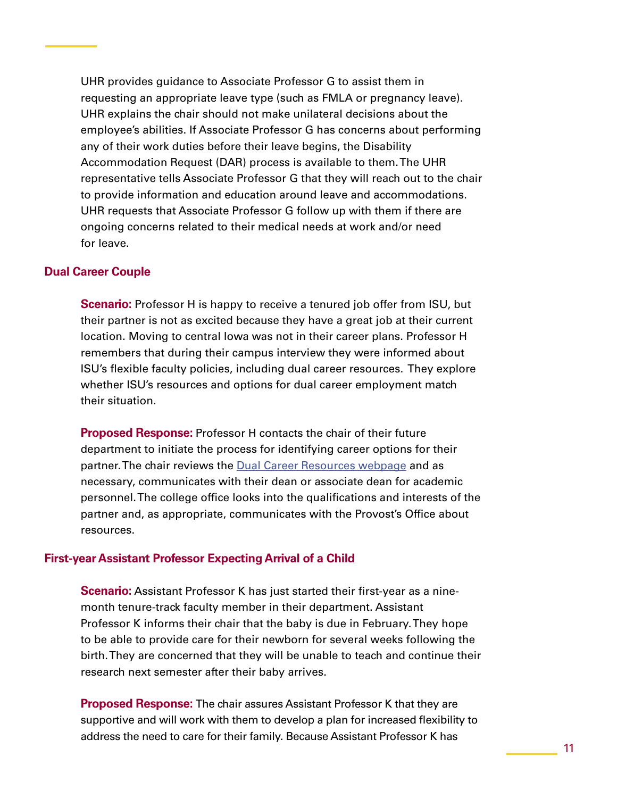UHR provides guidance to Associate Professor G to assist them in requesting an appropriate leave type (such as FMLA or pregnancy leave). UHR explains the chair should not make unilateral decisions about the employee's abilities. If Associate Professor G has concerns about performing any of their work duties before their leave begins, the Disability Accommodation Request (DAR) process is available to them. The UHR representative tells Associate Professor G that they will reach out to the chair to provide information and education around leave and accommodations. UHR requests that Associate Professor G follow up with them if there are ongoing concerns related to their medical needs at work and/or need for leave.

#### **Dual Career Couple**

**Scenario:** Professor H is happy to receive a tenured job offer from ISU, but their partner is not as excited because they have a great job at their current location. Moving to central Iowa was not in their career plans. Professor H remembers that during their campus interview they were informed about ISU's flexible faculty policies, including dual career resources. They explore whether ISU's resources and options for dual career employment match their situation.

**Proposed Response:** Professor H contacts the chair of their future department to initiate the process for identifying career options for their partner. The chair reviews the Dual Career Resources webpage and as necessary, communicates with their dean or associate dean for academic personnel. The college office looks into the qualifications and interests of the partner and, as appropriate, communicates with the Provost's Office about resources.

#### **First-year Assistant Professor Expecting Arrival of a Child**

**Scenario:** Assistant Professor K has just started their first-year as a ninemonth tenure-track faculty member in their department. Assistant Professor K informs their chair that the baby is due in February. They hope to be able to provide care for their newborn for several weeks following the birth. They are concerned that they will be unable to teach and continue their research next semester after their baby arrives.

**Proposed Response:** The chair assures Assistant Professor K that they are supportive and will work with them to develop a plan for increased flexibility to address the need to care for their family. Because Assistant Professor K has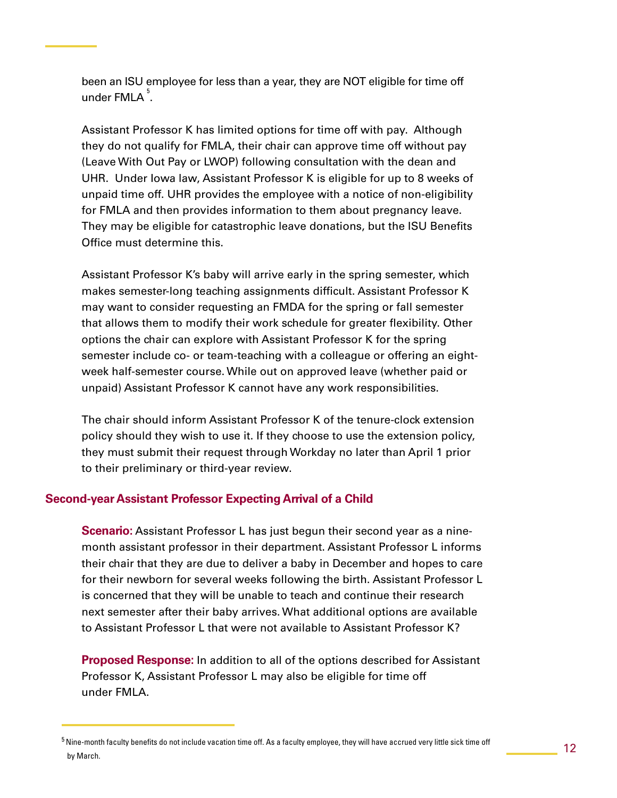been an ISU employee for less than a year, they are NOT eligible for time off under FMLA $\,$   $\,$   $\,$   $\,$ 

Assistant Professor K has limited options for time off with pay. Although they do not qualify for FMLA, their chair can approve time off without pay (Leave With Out Pay or LWOP) following consultation with the dean and UHR. Under Iowa law, Assistant Professor K is eligible for up to 8 weeks of unpaid time off. UHR provides the employee with a notice of non-eligibility for FMLA and then provides information to them about pregnancy leave. They may be eligible for catastrophic leave donations, but the ISU Benefits Office must determine this.

Assistant Professor K's baby will arrive early in the spring semester, which makes semester-long teaching assignments difficult. Assistant Professor K may want to consider requesting an FMDA for the spring or fall semester that allows them to modify their work schedule for greater flexibility. Other options the chair can explore with Assistant Professor K for the spring semester include co- or team-teaching with a colleague or offering an eightweek half-semester course. While out on approved leave (whether paid or unpaid) Assistant Professor K cannot have any work responsibilities.

The chair should inform Assistant Professor K of the tenure-clock extension policy should they wish to use it. If they choose to use the extension policy, they must submit their request through Workday no later than April 1 prior to their preliminary or third-year review.

# **Second-year Assistant Professor Expecting Arrival of a Child**

**Scenario:** Assistant Professor L has just begun their second year as a ninemonth assistant professor in their department. Assistant Professor L informs their chair that they are due to deliver a baby in December and hopes to care for their newborn for several weeks following the birth. Assistant Professor L is concerned that they will be unable to teach and continue their research next semester after their baby arrives. What additional options are available to Assistant Professor L that were not available to Assistant Professor K?

**Proposed Response:** In addition to all of the options described for Assistant Professor K, Assistant Professor L may also be eligible for time off under FMLA.

 $^5$  Nine-month faculty benefits do not include vacation time off. As a faculty employee, they will have accrued very little sick time off by March.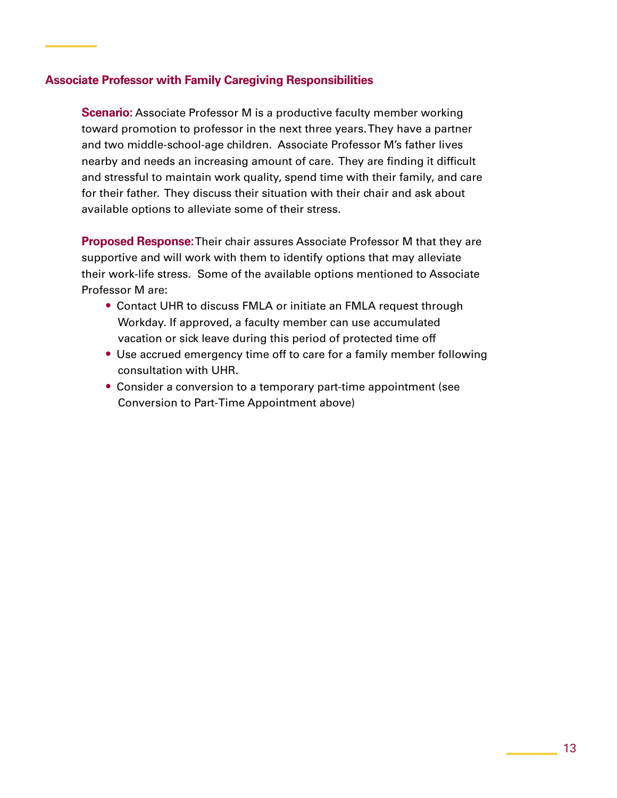# **Associate Professor with Family Caregiving Responsibilities**

**Scenario:** Associate Professor M is a productive faculty member working toward promotion to professor in the next three years. They have a partner and two middle-school-age children. Associate Professor M's father lives nearby and needs an increasing amount of care. They are finding it difficult and stressful to maintain work quality, spend time with their family, and care for their father. They discuss their situation with their chair and ask about available options to alleviate some of their stress.

**Proposed Response:** Their chair assures Associate Professor M that they are supportive and will work with them to identify options that may alleviate their work-life stress. Some of the available options mentioned to Associate Professor M are:

- **•** Contact UHR to discuss FMLA or initiate an FMLA request through Workday. If approved, a faculty member can use accumulated vacation or sick leave during this period of protected time off
- **•** Use accrued emergency time off to care for a family member following consultation with UHR.
- **•** Consider a conversion to a temporary part-time appointment (see Conversion to Part-Time Appointment above)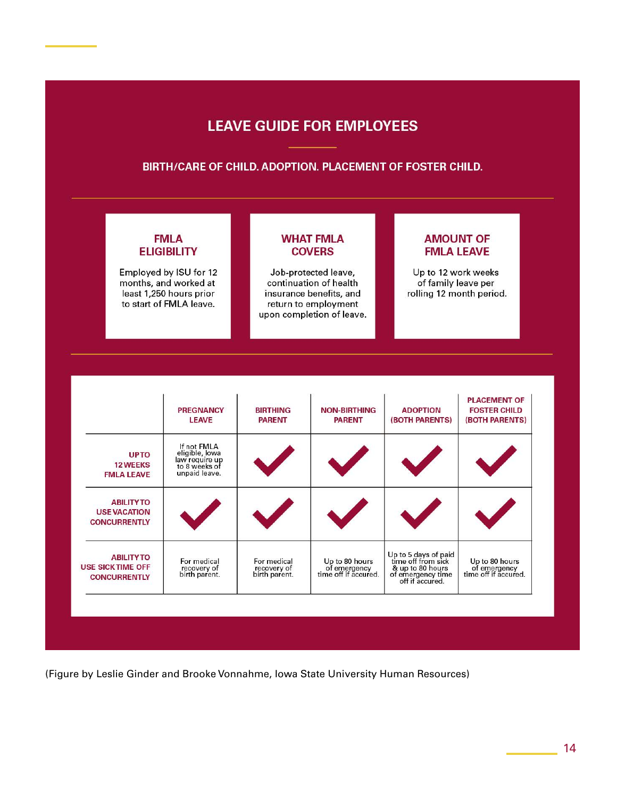# **LEAVE GUIDE FOR EMPLOYEES**

#### BIRTH/CARE OF CHILD. ADOPTION. PLACEMENT OF FOSTER CHILD.

# **FMLA ELIGIBILITY**

Employed by ISU for 12 months, and worked at least 1,250 hours prior to start of FMLA leave.

**COVERS** Job-protected leave,

**WHAT FMLA** 

continuation of health insurance benefits, and return to employment upon completion of leave.

# **AMOUNT OF FMLA LEAVE**

Up to 12 work weeks of family leave per rolling 12 month period.

|                                                                     |                                                                                   |                                             |                                                        |                                                                                                        | (BOTH PARENTS)                                         |
|---------------------------------------------------------------------|-----------------------------------------------------------------------------------|---------------------------------------------|--------------------------------------------------------|--------------------------------------------------------------------------------------------------------|--------------------------------------------------------|
| <b>UPTO</b><br><b>12 WEEKS</b><br><b>FMLA LEAVE</b>                 | If not FMLA<br>eligible, lowa<br>law require up<br>to 8 weeks of<br>unpaid leave. |                                             |                                                        |                                                                                                        |                                                        |
| <b>ABILITY TO</b><br><b>USE VACATION</b><br><b>CONCURRENTLY</b>     |                                                                                   |                                             |                                                        |                                                                                                        |                                                        |
| <b>ABILITYTO</b><br><b>USE SICK TIME OFF</b><br><b>CONCURRENTLY</b> | For medical<br>recovery of<br>birth parent.                                       | For medical<br>recovery of<br>birth parent. | Up to 80 hours<br>of emergency<br>time off if accured. | Up to 5 days of paid<br>time off from sick<br>& up to 80 hours<br>of emergency time<br>off if accured. | Up to 80 hours<br>of emergency<br>time off if accured. |

(Figure by Leslie Ginder and Brooke Vonnahme, Iowa State University Human Resources)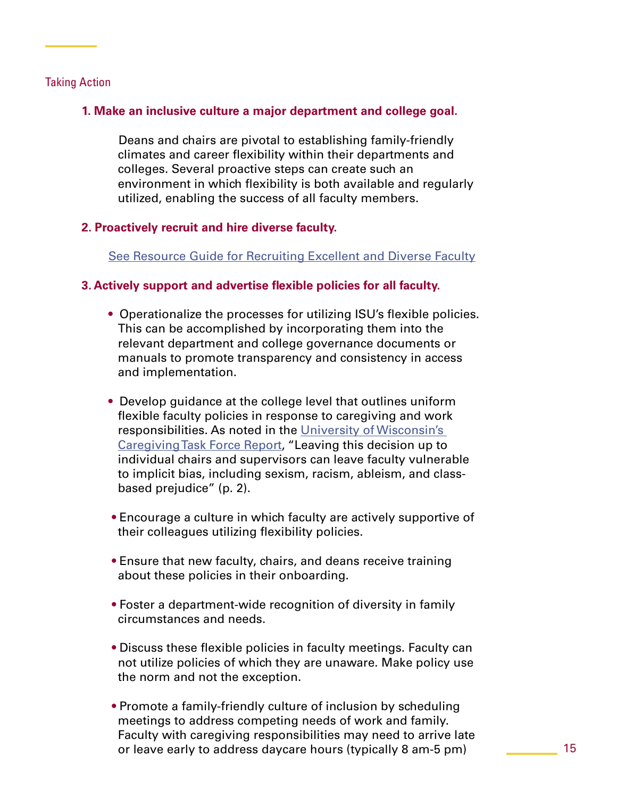# Taking Action

# **1. Make an inclusive culture a major department and college goal.**

 Deans and chairs are pivotal to establishing family-friendly climates and career flexibility within their departments and colleges. Several proactive steps can create such an environment in which flexibility is both available and regularly utilized, enabling the success of all faculty members.

# **2. Proactively recruit and hire diverse faculty.**

[See Resource Guide for Recruiting Excellent and Diverse Faculty](https://www.advance.iastate.edu/initiatives/search-committee/resource-guide)

# **3. Actively support and advertise flexible policies for all faculty.**

- **•** Operationalize the processes for utilizing ISU's flexible policies. This can be accomplished by incorporating them into the relevant department and college governance documents or manuals to promote transparency and consistency in access and implementation.
- **•** Develop guidance at the college level that outlines uniform flexible faculty policies in response to caregiving and work responsibilities. As noted in the [University of Wisconsin's](https://consortium.gws.wisc.edu/caregiving-task-force/)  [Caregiving Task Force](https://consortium.gws.wisc.edu/caregiving-task-force/) Report, "Leaving this decision up to individual chairs and supervisors can leave faculty vulnerable to implicit bias, including sexism, racism, ableism, and class based prejudice" (p. 2).
- **•** Encourage a culture in which faculty are actively supportive of their colleagues utilizing flexibility policies.
- **•** Ensure that new faculty, chairs, and deans receive training about these policies in their onboarding.
- **•** Foster a department-wide recognition of diversity in family circumstances and needs.
- **•** Discuss these flexible policies in faculty meetings. Faculty can not utilize policies of which they are unaware. Make policy use the norm and not the exception.
- **•** Promote a family-friendly culture of inclusion by scheduling meetings to address competing needs of work and family. Faculty with caregiving responsibilities may need to arrive late or leave early to address daycare hours (typically 8 am-5 pm)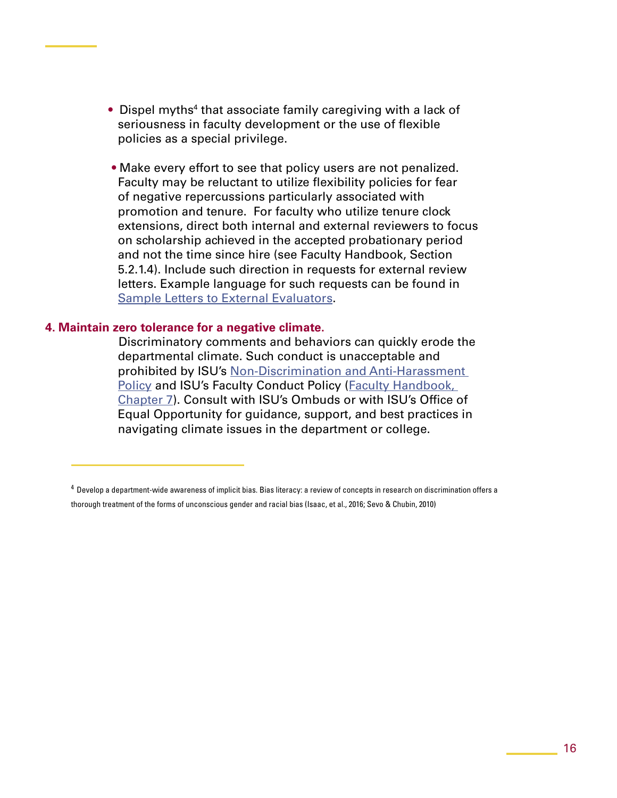- Dispel myths<sup>4</sup> that associate family caregiving with a lack of seriousness in faculty development or the use of flexible policies as a special privilege.
	- **•** Make every effort to see that policy users are not penalized. Faculty may be reluctant to utilize flexibility policies for fear of negative repercussions particularly associated with promotion and tenure. For faculty who utilize tenure clock extensions, direct both internal and external reviewers to focus on scholarship achieved in the accepted probationary period and not the time since hire (see Faculty Handbook, Section 5.2.1.4). Include such direction in requests for external review letters. Example language for such requests can be found in [Sample Letters to External Evaluators](https://www.provost.iastate.edu/sites/default/files/uploads/faculty%20resources/advancement%26review/Sample%20Letters%20to%20External.pdf).

#### **4. Maintain zero tolerance for a negative climate.**

 Discriminatory comments and behaviors can quickly erode the departmental climate. Such conduct is unacceptable and prohibited by ISU's [Non-Discrimination and Anti-Harassment](https://www.policy.iastate.edu/policy/discrimination)  [Policy](https://www.policy.iastate.edu/policy/discrimination) and ISU's Faculty Conduct Policy (Faculty Handbook, [Chapter 7\)](https://www.provost.iastate.edu/policies/faculty-handbook). Consult with ISU's Ombuds or with ISU's Office of Equal Opportunity for guidance, support, and best practices in navigating climate issues in the department or college.

<sup>4</sup> Develop a department-wide awareness of implicit bias. Bias literacy: a review of concepts in research on discrimination offers a thorough treatment of the forms of unconscious gender and racial bias (Isaac, et al., 2016; Sevo & Chubin, 2010)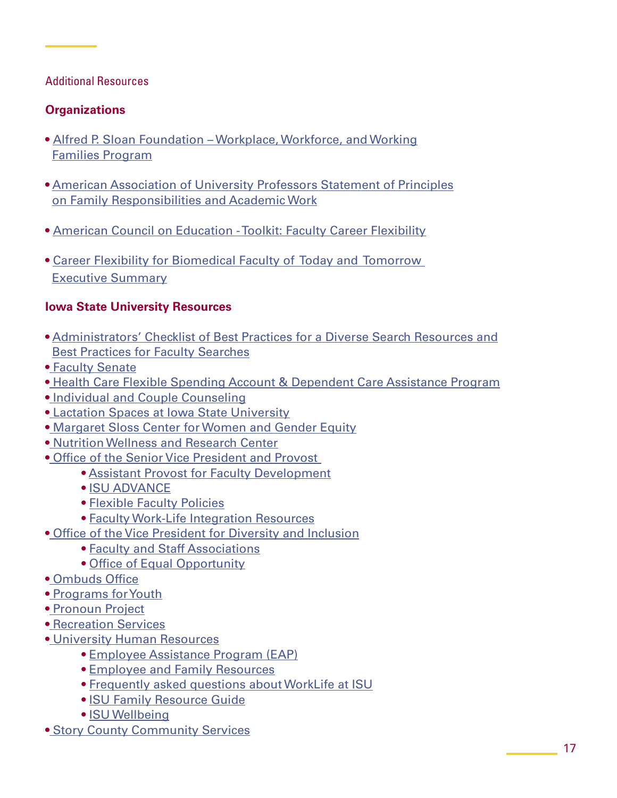# Additional Resources

# **Organizations**

- [Alfred P. Sloan Foundation Workplace, Workforce, and Working](https://sloan.org/programs/completed-programs/workplace-workforce-working-families) [Families Program](https://sloan.org/programs/completed-programs/workplace-workforce-working-families)
- **•** [American Association of University Professors Statement of Principles](https://www.aaup.org/AAUP/pubsres/policydocs/contents/workfam-stmt.htm) [on Family Responsibilities and Academic Work](https://www.aaup.org/AAUP/pubsres/policydocs/contents/workfam-stmt.htm)
- [American Council on Education Toolkit: Faculty Career Flexibility](https://www.acenet.edu/Research-Insights/Pages/Senior-Leaders/Toolkit-Faculty-Career-Flexibility.aspx)
- **•** [Career Flexibility for Biomedical Faculty of Today and Tomorrow](https://www.acenet.edu/Documents/Executive-Summary-Career-Flexibility-Conference-2015.pdf#search=faculty%20flexibility)  [Executive Summary](https://www.acenet.edu/Documents/Executive-Summary-Career-Flexibility-Conference-2015.pdf#search=faculty%20flexibility)

# **Iowa State University Resources**

- **•** [Administrators' Checklist of Best Practices for a Diverse Search Resources and](https://www.advance.iastate.edu/initiatives/search-committee/resources-and-best-practices) [Best Practices for Faculty Searches](https://www.advance.iastate.edu/initiatives/search-committee/resources-and-best-practices)
- **•** [Faculty Senate](http://www.facsen.iastate.edu/)
- **•** [Health Care Flexible Spending Account & Dependent Care Assistance Program](https://www.hr.iastate.edu/benefits/insurance/fsa-dcap)
- **•** [Individual and Couple Counseling](https://www.counseling.iastate.edu/services/counseling/)
- **•** [Lactation Spaces at Iowa State University](https://childcare.hr.iastate.edu/resource-library/lactationspaces/on-campus)
- **•** [Margaret Sloss Center for Women and Gender Equity](https://sloss.dso.iastate.edu/)
- **•** [Nutrition Wellness and Research Center](http://www.nwrc.iastate.edu/)
- **•** [Office of the Senior Vice President and Provost](https://www.provost.iastate.edu/) 
	- **•** [Assistant Provost for Faculty Development](https://www.provost.iastate.edu/about/people/tera)
	- **•** [ISU ADVANCE](https://www.advance.iastate.edu/)
	- **•** [Flexible Faculty Policies](https://new.provost.iastate.edu/faculty-success/work-life)
	- **•** [Faculty Work-Life Integration Resources](https://new.provost.iastate.edu/faculty-success/work-life)
- **•** [Office of the Vice President for Diversity and Inclusion](https://www.diversity.iastate.edu/)
	- **•** [Faculty and Staff Associations](https://www.diversity.iastate.edu/connect/fsa)
	- **•** [Office of Equal Opportunity](https://www.eoc.iastate.edu/)
- **•** [Ombuds Office](https://www.ombuds.iastate.edu/)
- **•** [Programs for Youth](http://www.ispy.iastate.edu/)
- **•** [Pronoun Project](https://www.diversity.iastate.edu/who/gsdi/pronoun)
- **•** [Recreation Services](https://www.recservices.iastate.edu/)
- **•** [University Human Resources](https://www.hr.iastate.edu/)
	- **•** [Employee Assistance Program \(EAP\)](https://www.hr.iastate.edu/benefits/addlbenefits/employee-assistance-program)
	- **•** [Employee and Family Resources](https://www.hr.iastate.edu/tools-for-employees/conflict-in-the-workplace/employee---family-resources)
	- **•** [Frequently asked questions about WorkLife at ISU](https://worklife.hr.iastate.edu/faq)
	- **•** [ISU Family Resource Guide](https://www.hr.iastate.edu/sites/default/files/hr-managed-file/recruitment-services/generic-usage/541/isu-family-resource-guide-2017-09-26-1301.pdf)
	- **•** [ISU Wellbeing](https://www.wellbeing.iastate.edu/)
- **•** [Story County Community Services](https://www.storycountyiowa.gov/94/Community-Services)